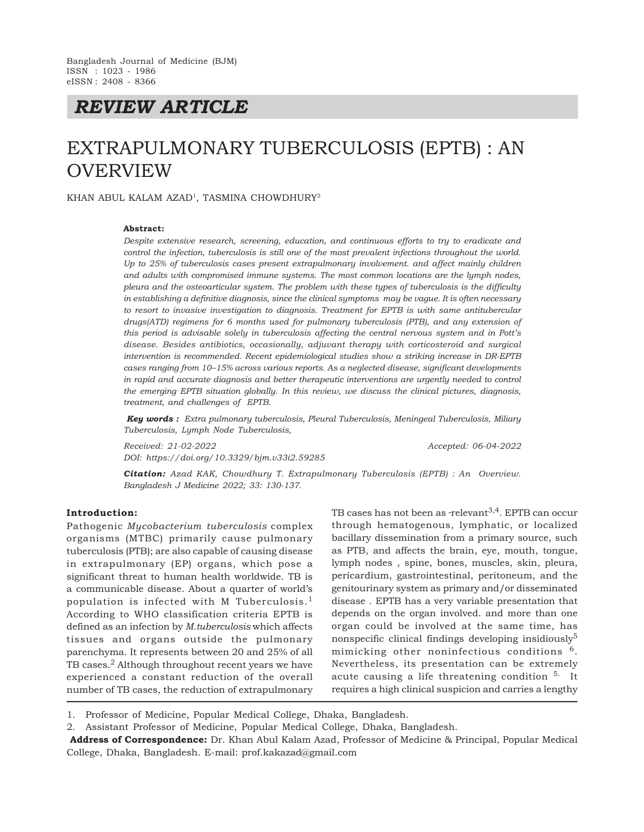*REVIEW ARTICLE*

# EXTRAPULMONARY TUBERCULOSIS (EPTB) : AN OVERVIEW

KHAN ABUL KALAM AZAD<sup>1</sup>, TASMINA CHOWDHURY<sup>2</sup>

#### **Abstract:**

*Despite extensive research, screening, education, and continuous efforts to try to eradicate and control the infection, tuberculosis is still one of the most prevalent infections throughout the world. Up to 25% of tuberculosis cases present extrapulmonary involvement. and affect mainly children and adults with compromised immune systems. The most common locations are the lymph nodes, pleura and the osteoarticular system. The problem with these types of tuberculosis is the difficulty in establishing a definitive diagnosis, since the clinical symptoms may be vague. It is often necessary to resort to invasive investigation to diagnosis. Treatment for EPTB is with same antitubercular drugs(ATD) regimens for 6 months used for pulmonary tuberculosis (PTB), and any extension of this period is advisable solely in tuberculosis affecting the central nervous system and in Pott's disease. Besides antibiotics, occasionally, adjuvant therapy with corticosteroid and surgical intervention is recommended. Recent epidemiological studies show a striking increase in DR-EPTB cases ranging from 10–15% across various reports. As a neglected disease, significant developments in rapid and accurate diagnosis and better therapeutic interventions are urgently needed to control the emerging EPTB situation globally. In this review, we discuss the clinical pictures, diagnosis, treatment, and challenges of EPTB.*

 *Key words : Extra pulmonary tuberculosis, Pleural Tuberculosis, Meningeal Tuberculosis, Miliary Tuberculosis, Lymph Node Tuberculosis,*

*Received: 21-02-2022 Accepted: 06-04-2022 DOI: https://doi.org/10.3329/bjm.v33i2.59285*

*Citation: Azad KAK, Chowdhury T. Extrapulmonary Tuberculosis (EPTB) : An Overview. Bangladesh J Medicine 2022; 33: 130-137.*

# **Introduction:**

Pathogenic *Mycobacterium tuberculosis* complex organisms (MTBC) primarily cause pulmonary tuberculosis (PTB); are also capable of causing disease in extrapulmonary (EP) organs, which pose a significant threat to human health worldwide. TB is a communicable disease. About a quarter of world's population is infected with M Tuberculosis.<sup>1</sup> According to WHO classification criteria EPTB is defined as an infection by *M.tuberculosis* which affects tissues and organs outside the pulmonary parenchyma. It represents between 20 and 25% of all TB cases.<sup>2</sup> Although throughout recent years we have experienced a constant reduction of the overall number of TB cases, the reduction of extrapulmonary TB cases has not been as -relevant<sup>3,4</sup>. EPTB can occur through hematogenous, lymphatic, or localized bacillary dissemination from a primary source, such as PTB, and affects the brain, eye, mouth, tongue, lymph nodes , spine, bones, muscles, skin, pleura, pericardium, gastrointestinal, peritoneum, and the genitourinary system as primary and/or disseminated disease . EPTB has a very variable presentation that depends on the organ involved. and more than one organ could be involved at the same time, has nonspecific clinical findings developing insidiously<sup>5</sup> mimicking other noninfectious conditions <sup>6</sup>. Nevertheless, its presentation can be extremely acute causing a life threatening condition <sup>5.</sup> It requires a high clinical suspicion and carries a lengthy

1. Professor of Medicine, Popular Medical College, Dhaka, Bangladesh.

2. Assistant Professor of Medicine, Popular Medical College, Dhaka, Bangladesh.

 **Address of Correspondence:** Dr. Khan Abul Kalam Azad, Professor of Medicine & Principal, Popular Medical College, Dhaka, Bangladesh. E-mail: prof.kakazad@gmail.com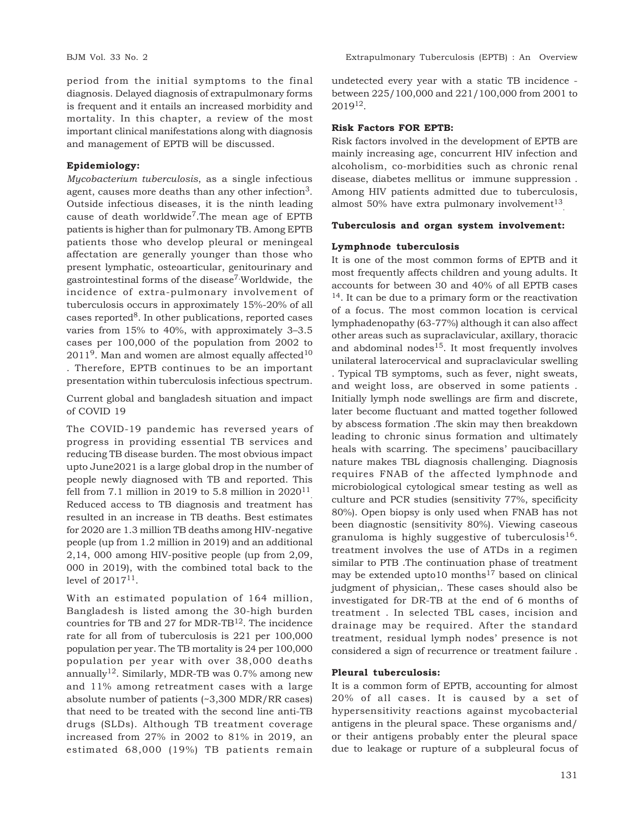period from the initial symptoms to the final diagnosis. Delayed diagnosis of extrapulmonary forms is frequent and it entails an increased morbidity and mortality. In this chapter, a review of the most important clinical manifestations along with diagnosis and management of EPTB will be discussed.

#### **Epidemiology:**

*Mycobacterium tuberculosis*, as a single infectious agent, causes more deaths than any other infection<sup>3</sup>. Outside infectious diseases, it is the ninth leading cause of death worldwide<sup>7</sup>. The mean age of EPTB patients is higher than for pulmonary TB. Among EPTB patients those who develop pleural or meningeal affectation are generally younger than those who present lymphatic, osteoarticular, genitourinary and gastrointestinal forms of the disease7.Worldwide, the incidence of extra-pulmonary involvement of tuberculosis occurs in approximately 15%-20% of all cases reported $8$ . In other publications, reported cases varies from 15% to 40%, with approximately 3–3.5 cases per 100,000 of the population from 2002 to  $2011<sup>9</sup>$ . Man and women are almost equally affected<sup>10</sup> . Therefore, EPTB continues to be an important presentation within tuberculosis infectious spectrum.

Current global and bangladesh situation and impact of COVID 19

The COVID-19 pandemic has reversed years of progress in providing essential TB services and reducing TB disease burden. The most obvious impact upto June2021 is a large global drop in the number of people newly diagnosed with TB and reported. This fell from 7.1 million in 2019 to 5.8 million in  $2020^{11}$ . Reduced access to TB diagnosis and treatment has resulted in an increase in TB deaths. Best estimates for 2020 are 1.3 million TB deaths among HIV-negative people (up from 1.2 million in 2019) and an additional 2,14, 000 among HIV-positive people (up from 2,09, 000 in 2019), with the combined total back to the level of  $2017^{11}$ .

With an estimated population of 164 million, Bangladesh is listed among the 30-high burden countries for TB and 27 for MDR-TB $^{12}$ . The incidence rate for all from of tuberculosis is 221 per 100,000 population per year. The TB mortality is 24 per 100,000 population per year with over 38,000 deaths annually<sup>12</sup>. Similarly, MDR-TB was 0.7% among new and 11% among retreatment cases with a large absolute number of patients (~3,300 MDR/RR cases) that need to be treated with the second line anti-TB drugs (SLDs). Although TB treatment coverage increased from 27% in 2002 to 81% in 2019, an estimated 68,000 (19%) TB patients remain

undetected every year with a static TB incidence between 225/100,000 and 221/100,000 from 2001 to 201912.

### **Risk Factors FOR EPTB:**

Risk factors involved in the development of EPTB are mainly increasing age, concurrent HIV infection and alcoholism, co-morbidities such as chronic renal disease, diabetes mellitus or immune suppression . Among HIV patients admitted due to tuberculosis, almost 50% have extra pulmonary involvement $^{13}$ .

# **Tuberculosis and organ system involvement:**

#### **Lymphnode tuberculosis**

It is one of the most common forms of EPTB and it most frequently affects children and young adults. It accounts for between 30 and 40% of all EPTB cases  $14$ . It can be due to a primary form or the reactivation of a focus. The most common location is cervical lymphadenopathy (63-77%) although it can also affect other areas such as supraclavicular, axillary, thoracic and abdominal nodes $15$ . It most frequently involves unilateral laterocervical and supraclavicular swelling . Typical TB symptoms, such as fever, night sweats, and weight loss, are observed in some patients . Initially lymph node swellings are firm and discrete, later become fluctuant and matted together followed by abscess formation .The skin may then breakdown leading to chronic sinus formation and ultimately heals with scarring. The specimens' paucibacillary nature makes TBL diagnosis challenging. Diagnosis requires FNAB of the affected lymphnode and microbiological cytological smear testing as well as culture and PCR studies (sensitivity 77%, specificity 80%). Open biopsy is only used when FNAB has not been diagnostic (sensitivity 80%). Viewing caseous granuloma is highly suggestive of tuberculosis<sup>16</sup>. treatment involves the use of ATDs in a regimen similar to PTB .The continuation phase of treatment may be extended upto10 months $^{17}$  based on clinical judgment of physician,. These cases should also be investigated for DR-TB at the end of 6 months of treatment . In selected TBL cases, incision and drainage may be required. After the standard treatment, residual lymph nodes' presence is not considered a sign of recurrence or treatment failure .

#### **Pleural tuberculosis:**

It is a common form of EPTB, accounting for almost 20% of all cases. It is caused by a set of hypersensitivity reactions against mycobacterial antigens in the pleural space. These organisms and/ or their antigens probably enter the pleural space due to leakage or rupture of a subpleural focus of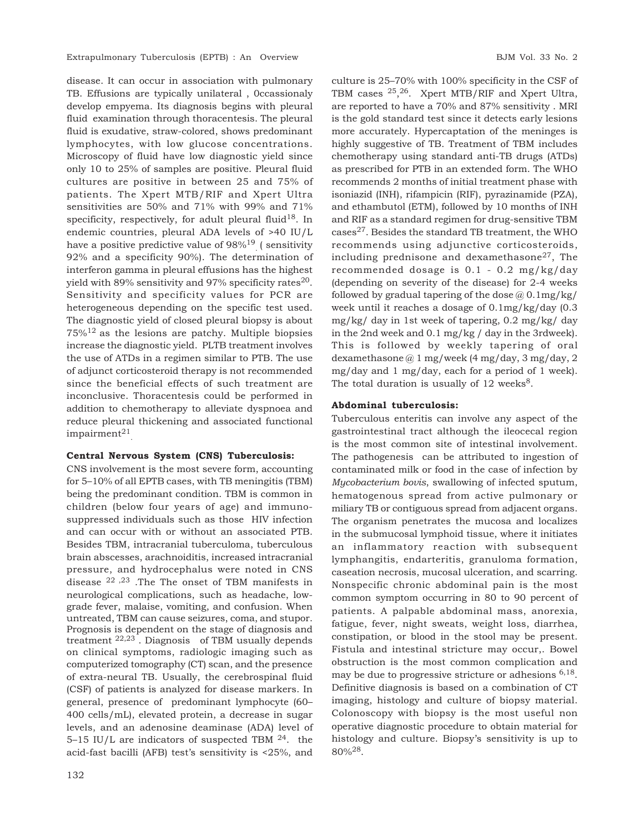disease. It can occur in association with pulmonary TB. Effusions are typically unilateral , 0ccassionaly develop empyema. Its diagnosis begins with pleural fluid examination through thoracentesis. The pleural fluid is exudative, straw-colored, shows predominant lymphocytes, with low glucose concentrations. Microscopy of fluid have low diagnostic yield since only 10 to 25% of samples are positive. Pleural fluid cultures are positive in between 25 and 75% of patients. The Xpert MTB/RIF and Xpert Ultra sensitivities are 50% and 71% with 99% and 71% specificity, respectively, for adult pleural fluid<sup>18</sup>. In endemic countries, pleural ADA levels of >40 IU/L have a positive predictive value of 98%<sup>19</sup> (sensitivity 92% and a specificity 90%). The determination of interferon gamma in pleural effusions has the highest yield with 89% sensitivity and 97% specificity rates $^{20}$ . Sensitivity and specificity values for PCR are heterogeneous depending on the specific test used. The diagnostic yield of closed pleural biopsy is about  $75\%$ <sup>12</sup> as the lesions are patchy. Multiple biopsies increase the diagnostic yield. PLTB treatment involves the use of ATDs in a regimen similar to PTB. The use of adjunct corticosteroid therapy is not recommended since the beneficial effects of such treatment are inconclusive. Thoracentesis could be performed in addition to chemotherapy to alleviate dyspnoea and reduce pleural thickening and associated functional  $impairment<sup>21</sup>$ 

# **Central Nervous System (CNS) Tuberculosis:**

CNS involvement is the most severe form, accounting for 5–10% of all EPTB cases, with TB meningitis (TBM) being the predominant condition. TBM is common in children (below four years of age) and immunosuppressed individuals such as those HIV infection and can occur with or without an associated PTB. Besides TBM, intracranial tuberculoma, tuberculous brain abscesses, arachnoiditis, increased intracranial pressure, and hydrocephalus were noted in CNS disease 22 ,23 .The The onset of TBM manifests in neurological complications, such as headache, lowgrade fever, malaise, vomiting, and confusion. When untreated, TBM can cause seizures, coma, and stupor. Prognosis is dependent on the stage of diagnosis and treatment 22,23 . Diagnosis of TBM usually depends on clinical symptoms, radiologic imaging such as computerized tomography (CT) scan, and the presence of extra-neural TB. Usually, the cerebrospinal fluid (CSF) of patients is analyzed for disease markers. In general, presence of predominant lymphocyte (60– 400 cells/mL), elevated protein, a decrease in sugar levels, and an adenosine deaminase (ADA) level of 5–15 IU/L are indicators of suspected TBM  $^{24}$ . the acid-fast bacilli (AFB) test's sensitivity is <25%, and culture is 25–70% with 100% specificity in the CSF of TBM cases 25, <sup>26</sup>. Xpert MTB/RIF and Xpert Ultra, are reported to have a 70% and 87% sensitivity . MRI is the gold standard test since it detects early lesions more accurately. Hypercaptation of the meninges is highly suggestive of TB. Treatment of TBM includes chemotherapy using standard anti-TB drugs (ATDs) as prescribed for PTB in an extended form. The WHO recommends 2 months of initial treatment phase with isoniazid (INH), rifampicin (RIF), pyrazinamide (PZA), and ethambutol (ETM), followed by 10 months of INH and RIF as a standard regimen for drug-sensitive TBM cases27. Besides the standard TB treatment, the WHO recommends using adjunctive corticosteroids, including prednisone and dexamethasone<sup>27</sup>, The recommended dosage is 0.1 - 0.2 mg/kg/day (depending on severity of the disease) for 2-4 weeks followed by gradual tapering of the dose  $@0.1mg/kg/$ week until it reaches a dosage of 0.1mg/kg/day (0.3 mg/kg/ day in 1st week of tapering, 0.2 mg/kg/ day in the 2nd week and 0.1 mg/kg / day in the 3rdweek). This is followed by weekly tapering of oral dexamethasone @ 1 mg/week (4 mg/day, 3 mg/day, 2 mg/day and 1 mg/day, each for a period of 1 week). The total duration is usually of  $12$  weeks<sup>8</sup>.

#### **Abdominal tuberculosis:**

Tuberculous enteritis can involve any aspect of the gastrointestinal tract although the ileocecal region is the most common site of intestinal involvement. The pathogenesis can be attributed to ingestion of contaminated milk or food in the case of infection by *Mycobacterium bovis*, swallowing of infected sputum, hematogenous spread from active pulmonary or miliary TB or contiguous spread from adjacent organs. The organism penetrates the mucosa and localizes in the submucosal lymphoid tissue, where it initiates an inflammatory reaction with subsequent lymphangitis, endarteritis, granuloma formation, caseation necrosis, mucosal ulceration, and scarring. Nonspecific chronic abdominal pain is the most common symptom occurring in 80 to 90 percent of patients. A palpable abdominal mass, anorexia, fatigue, fever, night sweats, weight loss, diarrhea, constipation, or blood in the stool may be present. Fistula and intestinal stricture may occur,. Bowel obstruction is the most common complication and may be due to progressive stricture or adhesions <sup>6,18</sup>. Definitive diagnosis is based on a combination of CT imaging, histology and culture of biopsy material. Colonoscopy with biopsy is the most useful non operative diagnostic procedure to obtain material for histology and culture. Biopsy's sensitivity is up to  $80\%^{28}$ .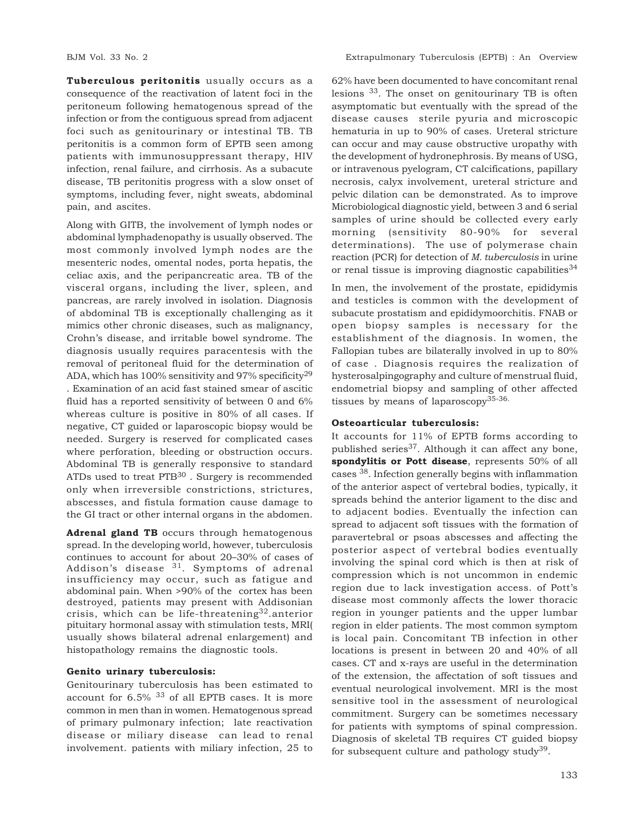**Tuberculous peritonitis** usually occurs as a consequence of the reactivation of latent foci in the peritoneum following hematogenous spread of the infection or from the contiguous spread from adjacent foci such as genitourinary or intestinal TB. TB peritonitis is a common form of EPTB seen among patients with immunosuppressant therapy, HIV infection, renal failure, and cirrhosis. As a subacute disease, TB peritonitis progress with a slow onset of symptoms, including fever, night sweats, abdominal pain, and ascites.

Along with GITB, the involvement of lymph nodes or abdominal lymphadenopathy is usually observed. The most commonly involved lymph nodes are the mesenteric nodes, omental nodes, porta hepatis, the celiac axis, and the peripancreatic area. TB of the visceral organs, including the liver, spleen, and pancreas, are rarely involved in isolation. Diagnosis of abdominal TB is exceptionally challenging as it mimics other chronic diseases, such as malignancy, Crohn's disease, and irritable bowel syndrome. The diagnosis usually requires paracentesis with the removal of peritoneal fluid for the determination of ADA, which has  $100\%$  sensitivity and 97% specificity<sup>29</sup>

. Examination of an acid fast stained smear of ascitic fluid has a reported sensitivity of between 0 and 6% whereas culture is positive in 80% of all cases. If negative, CT guided or laparoscopic biopsy would be needed. Surgery is reserved for complicated cases where perforation, bleeding or obstruction occurs. Abdominal TB is generally responsive to standard ATDs used to treat PTB<sup>30</sup>. Surgery is recommended only when irreversible constrictions, strictures, abscesses, and fistula formation cause damage to the GI tract or other internal organs in the abdomen.

**Adrenal gland TB** occurs through hematogenous spread. In the developing world, however, tuberculosis continues to account for about 20–30% of cases of Addison's disease  $31$ . Symptoms of adrenal insufficiency may occur, such as fatigue and abdominal pain. When >90% of the cortex has been destroyed, patients may present with Addisonian crisis, which can be life-threatening<sup>32</sup>.anterior pituitary hormonal assay with stimulation tests, MRI( usually shows bilateral adrenal enlargement) and histopathology remains the diagnostic tools.

# **Genito urinary tuberculosis:**

Genitourinary tuberculosis has been estimated to account for 6.5% 33 of all EPTB cases. It is more common in men than in women. Hematogenous spread of primary pulmonary infection; late reactivation disease or miliary disease can lead to renal involvement. patients with miliary infection, 25 to

62% have been documented to have concomitant renal lesions 33. The onset on genitourinary TB is often asymptomatic but eventually with the spread of the disease causes sterile pyuria and microscopic hematuria in up to 90% of cases. Ureteral stricture can occur and may cause obstructive uropathy with the development of hydronephrosis. By means of USG, or intravenous pyelogram, CT calcifications, papillary necrosis, calyx involvement, ureteral stricture and pelvic dilation can be demonstrated. As to improve Microbiological diagnostic yield, between 3 and 6 serial samples of urine should be collected every early morning (sensitivity 80-90% for several determinations). The use of polymerase chain reaction (PCR) for detection of *M. tuberculosis* in urine or renal tissue is improving diagnostic capabilities<sup>34</sup>

In men, the involvement of the prostate, epididymis and testicles is common with the development of subacute prostatism and epididymoorchitis. FNAB or open biopsy samples is necessary for the establishment of the diagnosis. In women, the Fallopian tubes are bilaterally involved in up to 80% of case . Diagnosis requires the realization of hysterosalpingography and culture of menstrual fluid, endometrial biopsy and sampling of other affected tissues by means of laparoscopy35-36.

# **Osteoarticular tuberculosis:**

It accounts for 11% of EPTB forms according to published series<sup>37</sup>. Although it can affect any bone, **spondylitis or Pott disease**, represents 50% of all cases 38. Infection generally begins with inflammation of the anterior aspect of vertebral bodies, typically, it spreads behind the anterior ligament to the disc and to adjacent bodies. Eventually the infection can spread to adjacent soft tissues with the formation of paravertebral or psoas abscesses and affecting the posterior aspect of vertebral bodies eventually involving the spinal cord which is then at risk of compression which is not uncommon in endemic region due to lack investigation access. of Pott's disease most commonly affects the lower thoracic region in younger patients and the upper lumbar region in elder patients. The most common symptom is local pain. Concomitant TB infection in other locations is present in between 20 and 40% of all cases. CT and x-rays are useful in the determination of the extension, the affectation of soft tissues and eventual neurological involvement. MRI is the most sensitive tool in the assessment of neurological commitment. Surgery can be sometimes necessary for patients with symptoms of spinal compression. Diagnosis of skeletal TB requires CT guided biopsy for subsequent culture and pathology study $39$ .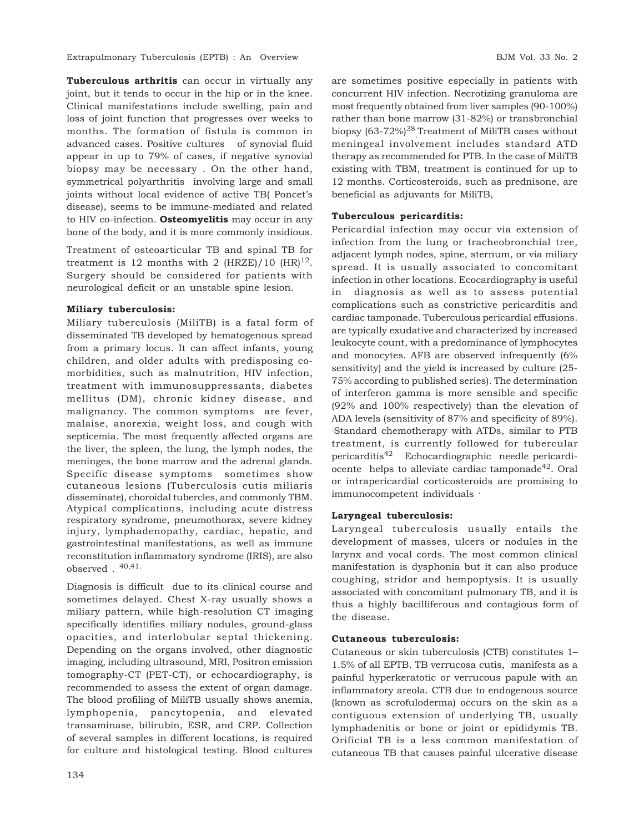Extrapulmonary Tuberculosis (EPTB) : An Overview BJM Vol. 33 No. 2

**Tuberculous arthritis** can occur in virtually any joint, but it tends to occur in the hip or in the knee. Clinical manifestations include swelling, pain and loss of joint function that progresses over weeks to months. The formation of fistula is common in advanced cases. Positive cultures of synovial fluid appear in up to 79% of cases, if negative synovial biopsy may be necessary . On the other hand, symmetrical polyarthritis involving large and small joints without local evidence of active TB( Poncet's disease), seems to be immune-mediated and related to HIV co-infection. **Osteomyelitis** may occur in any bone of the body, and it is more commonly insidious.

Treatment of osteoarticular TB and spinal TB for treatment is 12 months with 2 (HRZE)/10  $(HR)^{12}$ . Surgery should be considered for patients with neurological deficit or an unstable spine lesion.

# **Miliary tuberculosis:**

Miliary tuberculosis (MiliTB) is a fatal form of disseminated TB developed by hematogenous spread from a primary locus. It can affect infants, young children, and older adults with predisposing comorbidities, such as malnutrition, HIV infection, treatment with immunosuppressants, diabetes mellitus (DM), chronic kidney disease, and malignancy. The common symptoms are fever, malaise, anorexia, weight loss, and cough with septicemia. The most frequently affected organs are the liver, the spleen, the lung, the lymph nodes, the meninges, the bone marrow and the adrenal glands. Specific disease symptoms sometimes show cutaneous lesions (Tuberculosis cutis miliaris disseminate), choroidal tubercles, and commonly TBM. Atypical complications, including acute distress respiratory syndrome, pneumothorax, severe kidney injury, lymphadenopathy, cardiac, hepatic, and gastrointestinal manifestations, as well as immune reconstitution inflammatory syndrome (IRIS), are also observed  $.40,41$ .

Diagnosis is difficult due to its clinical course and sometimes delayed. Chest X-ray usually shows a miliary pattern, while high-resolution CT imaging specifically identifies miliary nodules, ground-glass opacities, and interlobular septal thickening. Depending on the organs involved, other diagnostic imaging, including ultrasound, MRI, Positron emission tomography-CT (PET-CT), or echocardiography, is recommended to assess the extent of organ damage. The blood profiling of MiliTB usually shows anemia, lymphopenia, pancytopenia, and elevated transaminase, bilirubin, ESR, and CRP. Collection of several samples in different locations, is required for culture and histological testing. Blood cultures

are sometimes positive especially in patients with concurrent HIV infection. Necrotizing granuloma are most frequently obtained from liver samples (90-100%) rather than bone marrow (31-82%) or transbronchial biopsy (63-72%)<sup>38</sup> Treatment of MiliTB cases without meningeal involvement includes standard ATD therapy as recommended for PTB. In the case of MiliTB existing with TBM, treatment is continued for up to 12 months. Corticosteroids, such as prednisone, are beneficial as adjuvants for MiliTB,

# **Tuberculous pericarditis:**

Pericardial infection may occur via extension of infection from the lung or tracheobronchial tree, adjacent lymph nodes, spine, sternum, or via miliary spread. It is usually associated to concomitant infection in other locations. Ecocardiography is useful in diagnosis as well as to assess potential complications such as constrictive pericarditis and cardiac tamponade. Tuberculous pericardial effusions. are typically exudative and characterized by increased leukocyte count, with a predominance of lymphocytes and monocytes. AFB are observed infrequently (6% sensitivity) and the yield is increased by culture (25- 75% according to published series). The determination of interferon gamma is more sensible and specific (92% and 100% respectively) than the elevation of ADA levels (sensitivity of 87% and specificity of 89%). .Standard chemotherapy with ATDs, similar to PTB treatment, is currently followed for tubercular pericarditis42 Echocardiographic needle pericardiocente helps to alleviate cardiac tamponade<sup>42</sup>. Oral or intrapericardial corticosteroids are promising to immunocompetent individuals .

# **Laryngeal tuberculosis:**

Laryngeal tuberculosis usually entails the development of masses, ulcers or nodules in the larynx and vocal cords. The most common clinical manifestation is dysphonia but it can also produce coughing, stridor and hempoptysis. It is usually associated with concomitant pulmonary TB, and it is thus a highly bacilliferous and contagious form of the disease.

# **Cutaneous tuberculosis:**

Cutaneous or skin tuberculosis (CTB) constitutes 1– 1.5% of all EPTB. TB verrucosa cutis, manifests as a painful hyperkeratotic or verrucous papule with an inflammatory areola. CTB due to endogenous source (known as scrofuloderma) occurs on the skin as a contiguous extension of underlying TB, usually lymphadenitis or bone or joint or epididymis TB. Orificial TB is a less common manifestation of cutaneous TB that causes painful ulcerative disease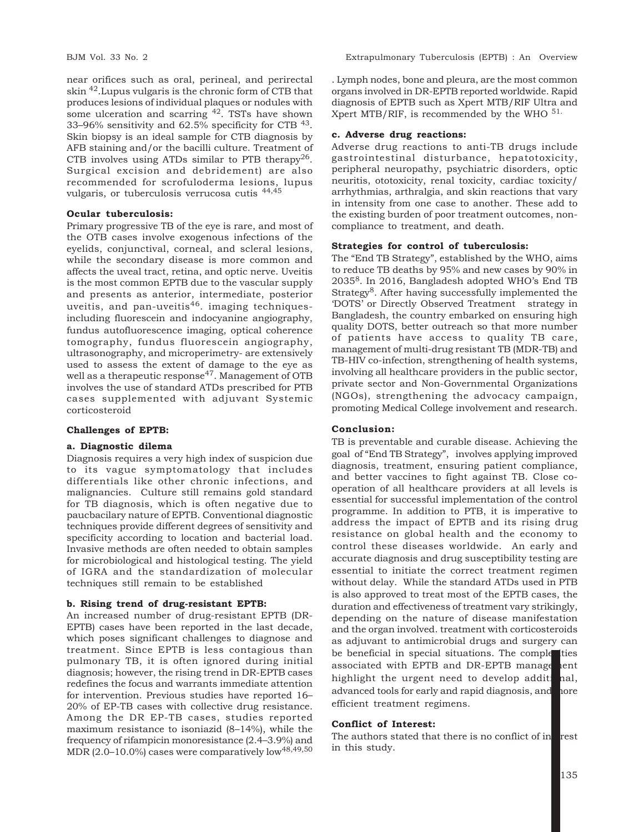near orifices such as oral, perineal, and perirectal skin 42.Lupus vulgaris is the chronic form of CTB that produces lesions of individual plaques or nodules with some ulceration and scarring  $42$ . TSTs have shown 33–96% sensitivity and 62.5% specificity for CTB 43. Skin biopsy is an ideal sample for CTB diagnosis by AFB staining and/or the bacilli culture. Treatment of CTB involves using ATDs similar to PTB therapy<sup>26</sup>. Surgical excision and debridement) are also recommended for scrofuloderma lesions, lupus vulgaris, or tuberculosis verrucosa cutis 44,45

# **Ocular tuberculosis:**

Primary progressive TB of the eye is rare, and most of the OTB cases involve exogenous infections of the eyelids, conjunctival, corneal, and scleral lesions, while the secondary disease is more common and affects the uveal tract, retina, and optic nerve. Uveitis is the most common EPTB due to the vascular supply and presents as anterior, intermediate, posterior uveitis, and pan-uveitis<sup>46</sup>. imaging techniquesincluding fluorescein and indocyanine angiography, fundus autofluorescence imaging, optical coherence tomography, fundus fluorescein angiography, ultrasonography, and microperimetry- are extensively used to assess the extent of damage to the eye as well as a therapeutic response<sup>47</sup>. Management of OTB involves the use of standard ATDs prescribed for PTB cases supplemented with adjuvant Systemic corticosteroid

#### **Challenges of EPTB:**

#### **a. Diagnostic dilema**

Diagnosis requires a very high index of suspicion due to its vague symptomatology that includes differentials like other chronic infections, and malignancies. Culture still remains gold standard for TB diagnosis, which is often negative due to paucbacilary nature of EPTB. Conventional diagnostic techniques provide different degrees of sensitivity and specificity according to location and bacterial load. Invasive methods are often needed to obtain samples for microbiological and histological testing. The yield of IGRA and the standardization of molecular techniques still remain to be established

#### **b. Rising trend of drug-resistant EPTB:**

An increased number of drug-resistant EPTB (DR-EPTB) cases have been reported in the last decade, which poses significant challenges to diagnose and treatment. Since EPTB is less contagious than pulmonary TB, it is often ignored during initial diagnosis; however, the rising trend in DR-EPTB cases redefines the focus and warrants immediate attention for intervention. Previous studies have reported 16– 20% of EP-TB cases with collective drug resistance. Among the DR EP-TB cases, studies reported maximum resistance to isoniazid (8–14%), while the frequency of rifampicin monoresistance (2.4–3.9%) and MDR  $(2.0-10.0\%)$  cases were comparatively low<sup>48,49,50</sup>

. Lymph nodes, bone and pleura, are the most common organs involved in DR-EPTB reported worldwide. Rapid diagnosis of EPTB such as Xpert MTB/RIF Ultra and Xpert MTB/RIF, is recommended by the WHO 51.

#### **c. Adverse drug reactions:**

Adverse drug reactions to anti-TB drugs include gastrointestinal disturbance, hepatotoxicity, peripheral neuropathy, psychiatric disorders, optic neuritis, ototoxicity, renal toxicity, cardiac toxicity/ arrhythmias, arthralgia, and skin reactions that vary in intensity from one case to another. These add to the existing burden of poor treatment outcomes, noncompliance to treatment, and death.

#### **Strategies for control of tuberculosis:**

The "End TB Strategy", established by the WHO, aims to reduce TB deaths by 95% and new cases by 90% in 20358. In 2016, Bangladesh adopted WHO's End TB Strategy<sup>8</sup>. After having successfully implemented the 'DOTS' or Directly Observed Treatment strategy in Bangladesh, the country embarked on ensuring high quality DOTS, better outreach so that more number of patients have access to quality TB care, management of multi-drug resistant TB (MDR-TB) and TB-HIV co-infection, strengthening of health systems, involving all healthcare providers in the public sector, private sector and Non-Governmental Organizations (NGOs), strengthening the advocacy campaign, promoting Medical College involvement and research.

#### **Conclusion:**

TB is preventable and curable disease. Achieving the goal of "End TB Strategy", involves applying improved diagnosis, treatment, ensuring patient compliance, and better vaccines to fight against TB. Close cooperation of all healthcare providers at all levels is essential for successful implementation of the control programme. In addition to PTB, it is imperative to address the impact of EPTB and its rising drug resistance on global health and the economy to control these diseases worldwide. An early and accurate diagnosis and drug susceptibility testing are essential to initiate the correct treatment regimen without delay. While the standard ATDs used in PTB is also approved to treat most of the EPTB cases, the duration and effectiveness of treatment vary strikingly, depending on the nature of disease manifestation and the organ involved. treatment with corticosteroids as adjuvant to antimicrobial drugs and surgery can be beneficial in special situations. The comple ties associated with EPTB and DR-EPTB manage tent highlight the urgent need to develop additional, advanced tools for early and rapid diagnosis, and nore efficient treatment regimens.

#### **Conflict of Interest:**

The authors stated that there is no conflict of interest in this study.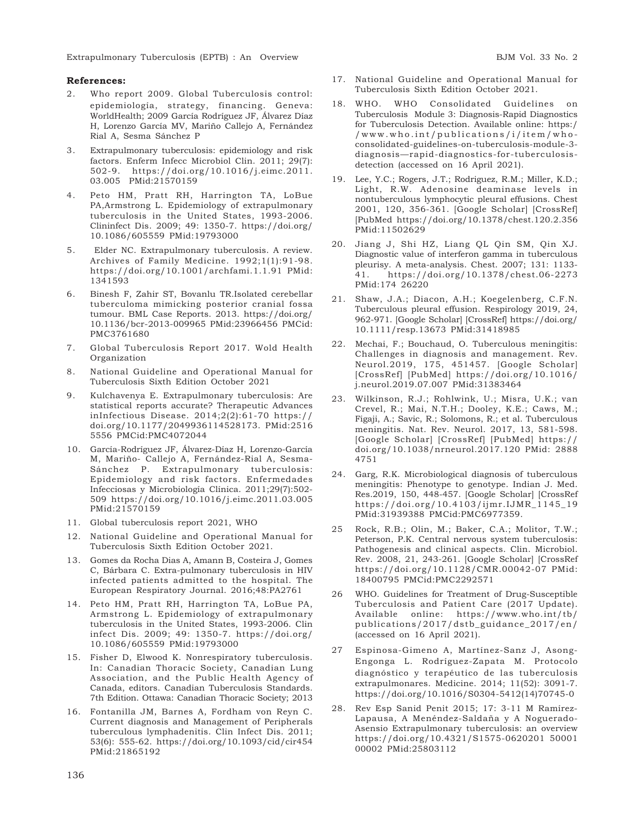Extrapulmonary Tuberculosis (EPTB) : An Overview BJM Vol. 33 No. 2

### **References:**

- 2. Who report 2009. Global Tuberculosis control: epidemiología, strategy, financing. Geneva: WorldHealth; 2009 García Rodríguez JF, Álvarez Díaz H, Lorenzo García MV, Mariño Callejo A, Fernández Rial A, Sesma Sánchez P
- 3. Extrapulmonary tuberculosis: epidemiology and risk factors. Enferm Infecc Microbiol Clin. 2011; 29(7): 502-9. https://doi.org/10.1016/j.eimc.2011. 03.005 PMid:21570159
- 4. Peto HM, Pratt RH, Harrington TA, LoBue PA,Armstrong L. Epidemiology of extrapulmonary tuberculosis in the United States, 1993-2006. Clininfect Dis. 2009; 49: 1350-7. https://doi.org/ 10.1086/605559 PMid:19793000
- 5. Elder NC. Extrapulmonary tuberculosis. A review. Archives of Family Medicine. 1992;1(1):91-98. https://doi.org/10.1001/archfami.1.1.91 PMid: 1341593
- 6. Binesh F, Zahir ST, Bovanlu TR.Isolated cerebellar tuberculoma mimicking posterior cranial fossa tumour. BML Case Reports. 2013. https://doi.org/ 10.1136/bcr-2013-009965 PMid:23966456 PMCid: PMC3761680
- 7. Global Tuberculosis Report 2017. Wold Health Organization
- 8. National Guideline and Operational Manual for Tuberculosis Sixth Edition October 2021
- 9. Kulchavenya E. Extrapulmonary tuberculosis: Are statistical reports accurate? Therapeutic Advances inInfectious Disease. 2014;2(2):61-70 https:// doi.org/10.1177/2049936114528173. PMid:2516 5556 PMCid:PMC4072044
- 10. García-Rodríguez JF, Álvarez-Díaz H, Lorenzo-García M, Mariño- Callejo A, Fernández-Rial A, Sesma-Sánchez P. Extrapulmonary tuberculosis: Epidemiology and risk factors. Enfermedades Infecciosas y Microbiología Clínica. 2011;29(7):502- 509 https://doi.org/10.1016/j.eimc.2011.03.005 PMid:21570159
- 11. Global tuberculosis report 2021, WHO
- 12. National Guideline and Operational Manual for Tuberculosis Sixth Edition October 2021.
- 13. Gomes da Rocha Dias A, Amann B, Costeira J, Gomes C, Bárbara C. Extra-pulmonary tuberculosis in HIV infected patients admitted to the hospital. The European Respiratory Journal. 2016;48:PA2761
- 14. Peto HM, Pratt RH, Harrington TA, LoBue PA, Armstrong L. Epidemiology of extrapulmonary tuberculosis in the United States, 1993-2006. Clin infect Dis. 2009; 49: 1350-7. https://doi.org/ 10.1086/605559 PMid:19793000
- 15. Fisher D, Elwood K. Nonrespiratory tuberculosis. In: Canadian Thoracic Society, Canadian Lung Association, and the Public Health Agency of Canada, editors. Canadian Tuberculosis Standards. 7th Edition. Ottawa: Canadian Thoracic Society; 2013
- 16. Fontanilla JM, Barnes A, Fordham von Reyn C. Current diagnosis and Management of Peripherals tuberculous lymphadenitis. Clin Infect Dis. 2011; 53(6): 555-62. https://doi.org/10.1093/cid/cir454 PMid:21865192
- 17. National Guideline and Operational Manual for Tuberculosis Sixth Edition October 2021.
- 18. WHO. WHO Consolidated Guidelines on Tuberculosis Module 3: Diagnosis-Rapid Diagnostics for Tuberculosis Detection. Available online: https:/ /www.who.int/publications/i/item/whoconsolidated-guidelines-on-tuberculosis-module-3 diagnosis—rapid-diagnostics-for-tuberculosisdetection (accessed on 16 April 2021).
- 19. Lee, Y.C.; Rogers, J.T.; Rodriguez, R.M.; Miller, K.D.; Light, R.W. Adenosine deaminase levels in nontuberculous lymphocytic pleural effusions. Chest 2001, 120, 356-361. [Google Scholar] [CrossRef] [PubMed https://doi.org/10.1378/chest.120.2.356 PMid:11502629
- 20. Jiang J, Shi HZ, Liang QL Qin SM, Qin XJ. Diagnostic value of interferon gamma in tuberculous pleurisy. A meta-analysis. Chest. 2007; 131: 1133- 41. https://doi.org/10.1378/chest.06-2273 PMid:174 26220
- 21. Shaw, J.A.; Diacon, A.H.; Koegelenberg, C.F.N. Tuberculous pleural effusion. Respirology 2019, 24, 962-971. [Google Scholar] [CrossRef] https://doi.org/ 10.1111/resp.13673 PMid:31418985
- 22. Mechai, F.; Bouchaud, O. Tuberculous meningitis: Challenges in diagnosis and management. Rev. Neurol.2019, 175, 451457. [Google Scholar] [CrossRef] [PubMed] https://doi.org/10.1016/ j.neurol.2019.07.007 PMid:31383464
- 23. Wilkinson, R.J.; Rohlwink, U.; Misra, U.K.; van Crevel, R.; Mai, N.T.H.; Dooley, K.E.; Caws, M.; Figaji, A.; Savic, R.; Solomons, R.; et al. Tuberculous meningitis. Nat. Rev. Neurol. 2017, 13, 581-598. [Google Scholar] [CrossRef] [PubMed] https:// doi.org/10.1038/nrneurol.2017.120 PMid: 2888 4751
- 24. Garg, R.K. Microbiological diagnosis of tuberculous meningitis: Phenotype to genotype. Indian J. Med. Res.2019, 150, 448-457. [Google Scholar] [CrossRef https://doi.org/10.4103/ijmr.IJMR\_1145\_19 PMid:31939388 PMCid:PMC6977359.
- 25 Rock, R.B.; Olin, M.; Baker, C.A.; Molitor, T.W.; Peterson, P.K. Central nervous system tuberculosis: Pathogenesis and clinical aspects. Clin. Microbiol. Rev. 2008, 21, 243-261. [Google Scholar] [CrossRef https://doi.org/10.1128/CMR.00042-07 PMid: 18400795 PMCid:PMC2292571
- 26 WHO. Guidelines for Treatment of Drug-Susceptible Tuberculosis and Patient Care (2017 Update). Available online: https://www.who.int/tb/ publications/2017/dstb\_guidance\_2017/en/ (accessed on 16 April 2021).
- 27 Espinosa-Gimeno A, Martínez-Sanz J, Asong-Engonga L. Rodríguez-Zapata M. Protocolo diagnóstico y terapéutico de las tuberculosis extrapulmonares. Medicine. 2014; 11(52): 3091-7. https://doi.org/10.1016/S0304-5412(14)70745-0
- 28. Rev Esp Sanid Penit 2015; 17: 3-11 M Ramírez-Lapausa, A Menéndez-Saldaña y A Noguerado-Asensio Extrapulmonary tuberculosis: an overview https://doi.org/10.4321/S1575-0620201 50001 00002 PMid:25803112